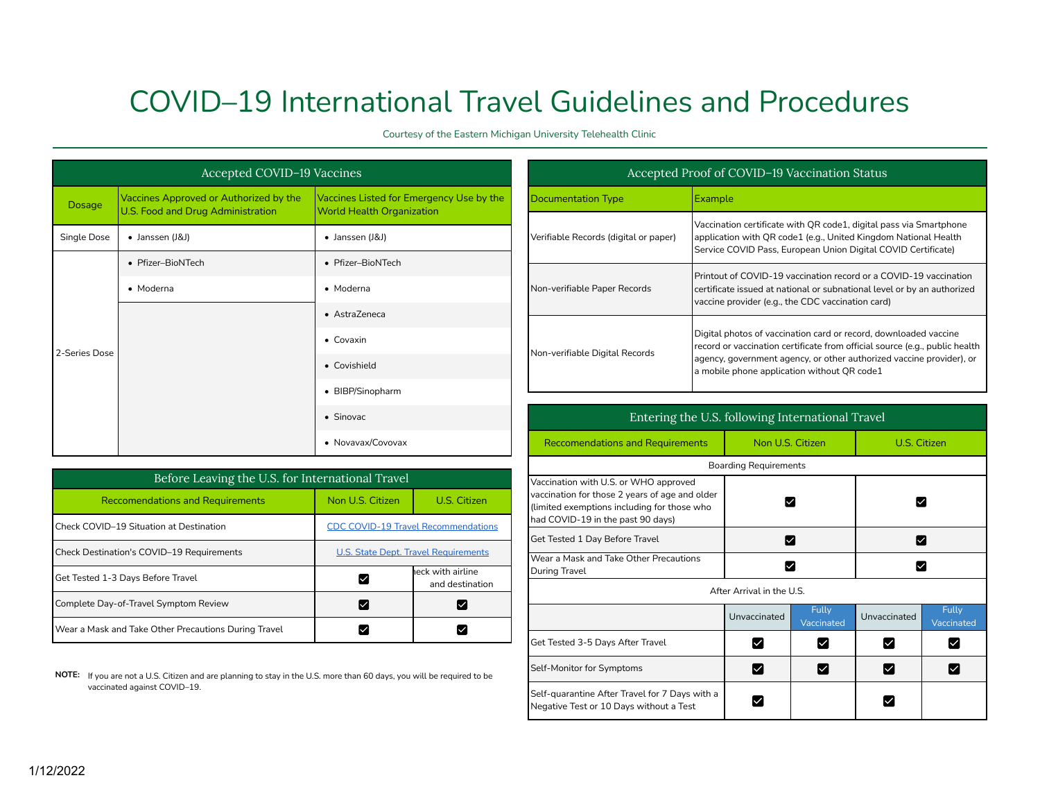# COVID–19 International Travel Guidelines and Procedures

Courtesy of the Eastern Michigan University Telehealth Clinic

| Accepted COVID-19 Vaccines |                                                                             |                                                                              |  |  |
|----------------------------|-----------------------------------------------------------------------------|------------------------------------------------------------------------------|--|--|
| <b>Dosage</b>              | Vaccines Approved or Authorized by the<br>U.S. Food and Drug Administration | Vaccines Listed for Emergency Use by the<br><b>World Health Organization</b> |  |  |
| <b>Single Dose</b>         | • Janssen (J&J)                                                             | • Janssen (J&J)                                                              |  |  |
| 2-Series Dose              | • Pfizer-BioNTech                                                           | • Pfizer-BioNTech                                                            |  |  |
|                            | • Moderna                                                                   | • Moderna                                                                    |  |  |
|                            |                                                                             | • AstraZeneca                                                                |  |  |
|                            |                                                                             | $\bullet$ Covaxin                                                            |  |  |
|                            |                                                                             | • Covishield                                                                 |  |  |
|                            |                                                                             | • BIBP/Sinopharm                                                             |  |  |
|                            |                                                                             | $\bullet$ Sinovac                                                            |  |  |
|                            |                                                                             | • Novavax/Covovax                                                            |  |  |

| Before Leaving the U.S. for International Travel     | Vaccination with U.S. or WHO approved      |                                      |                                                                                           |
|------------------------------------------------------|--------------------------------------------|--------------------------------------|-------------------------------------------------------------------------------------------|
| <b>Reccomendations and Requirements</b>              | Non U.S. Citizen                           | U.S. Citizen                         | vaccination for those 2 years of age and ol<br>(limited exemptions including for those wh |
| Check COVID-19 Situation at Destination              | <b>CDC COVID-19 Travel Recommendations</b> |                                      | had COVID-19 in the past 90 days)<br>Get Tested 1 Day Before Travel                       |
| Check Destination's COVID-19 Requirements            | U.S. State Dept. Travel Requirements       |                                      | Wear a Mask and Take Other Precautions                                                    |
| Get Tested 1-3 Days Before Travel                    |                                            | heck with airline<br>and destination | During Travel                                                                             |
| Complete Day-of-Travel Symptom Review                |                                            |                                      |                                                                                           |
| Wear a Mask and Take Other Precautions During Travel |                                            |                                      | Get Tected 3-5 Davs After Travel                                                          |

NOTE: If you are not a U.S. Citizen and are planning to stay in the U.S. more than 60 days, you will be required to be vaccinated against COVID–19. Self-quarantine After Travel for 7 Days with a

| Accepted COVID-19 Vaccines                 |                                                                              | Accepted Proof of COVID-19 Vaccination Status |                                                                                                                                                                                                                                                                        |  |  |  |
|--------------------------------------------|------------------------------------------------------------------------------|-----------------------------------------------|------------------------------------------------------------------------------------------------------------------------------------------------------------------------------------------------------------------------------------------------------------------------|--|--|--|
| d or Authorized by the<br>g Administration | Vaccines Listed for Emergency Use by the<br><b>World Health Organization</b> | Documentation Type                            | Example                                                                                                                                                                                                                                                                |  |  |  |
|                                            | • Janssen (J&J)                                                              | Verifiable Records (digital or paper)         | Vaccination certificate with QR code1, digital pass via Smartphone<br>application with QR code1 (e.g., United Kingdom National Health<br>Service COVID Pass, European Union Digital COVID Certificate)                                                                 |  |  |  |
|                                            | • Pfizer-BioNTech                                                            |                                               | Printout of COVID-19 vaccination record or a COVID-19 vaccination<br>certificate issued at national or subnational level or by an authorized<br>vaccine provider (e.g., the CDC vaccination card)                                                                      |  |  |  |
|                                            | $\bullet$ Moderna                                                            | Non-verifiable Paper Records                  |                                                                                                                                                                                                                                                                        |  |  |  |
|                                            | • AstraZeneca                                                                |                                               |                                                                                                                                                                                                                                                                        |  |  |  |
|                                            | • Covaxin                                                                    | Non-verifiable Digital Records                | Digital photos of vaccination card or record, downloaded vaccine<br>record or vaccination certificate from official source (e.g., public health<br>agency, government agency, or other authorized vaccine provider), or<br>a mobile phone application without QR code1 |  |  |  |
|                                            | • Covishield                                                                 |                                               |                                                                                                                                                                                                                                                                        |  |  |  |
|                                            |                                                                              |                                               |                                                                                                                                                                                                                                                                        |  |  |  |

| $\bullet$ Sinovac                                |                  | Entering the U.S. following International Travel                                              |                  |                            |              |                            |  |  |
|--------------------------------------------------|------------------|-----------------------------------------------------------------------------------------------|------------------|----------------------------|--------------|----------------------------|--|--|
| • Novavax/Covovax                                |                  | <b>Reccomendations and Requirements</b>                                                       | Non U.S. Citizen |                            | U.S. Citizen |                            |  |  |
|                                                  |                  | <b>Boarding Requirements</b>                                                                  |                  |                            |              |                            |  |  |
| ernational Travel                                |                  | Vaccination with U.S. or WHO approved                                                         |                  |                            |              |                            |  |  |
| Non U.S. Citizen                                 | U.S. Citizen     | vaccination for those 2 years of age and older<br>(limited exemptions including for those who |                  |                            | ☑            |                            |  |  |
| <b>CDC COVID-19 Travel Recommendations</b>       |                  | had COVID-19 in the past 90 days)                                                             |                  |                            |              |                            |  |  |
| <b>U.S. State Dept. Travel Requirements</b>      |                  | Get Tested 1 Day Before Travel<br>M                                                           |                  | И                          |              |                            |  |  |
|                                                  |                  | Wear a Mask and Take Other Precautions                                                        | M<br>∨           |                            |              |                            |  |  |
| M                                                | eck with airline | During Travel                                                                                 |                  |                            |              |                            |  |  |
| and destination                                  |                  | After Arrival in the U.S.                                                                     |                  |                            |              |                            |  |  |
| M<br>М                                           | M<br>☑           |                                                                                               | Unvaccinated     | <b>Fully</b><br>Vaccinated | Unvaccinated | <b>Fully</b><br>Vaccinated |  |  |
|                                                  |                  | Get Tested 3-5 Days After Travel                                                              | ∨                | M                          | M            | ∨                          |  |  |
| s. more than 60 days, you will be required to be |                  | Self-Monitor for Symptoms                                                                     | И                | V                          | Ø            |                            |  |  |
|                                                  |                  | Self-quarantine After Travel for 7 Days with a<br>Negative Test or 10 Days without a Test     | M                |                            | M            |                            |  |  |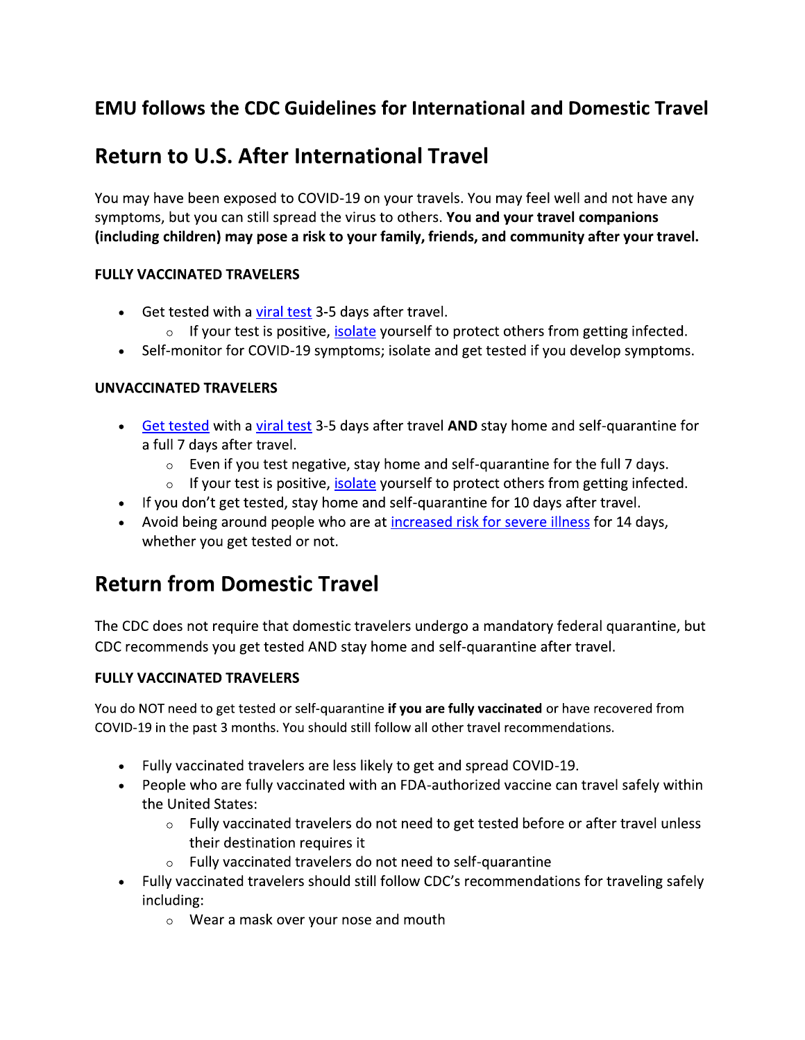### **EMU follows the CDC Guidelines for International and Domestic Travel**

# **Return to U.S. After International Travel**

You may have been exposed to COVID-19 on your travels. You may feel well and not have any symptoms, but you can still spread the virus to others. You and your travel companions (including children) may pose a risk to your family, friends, and community after your travel.

#### **FULLY VACCINATED TRAVELERS**

- Get tested with a viral test 3-5 days after travel.
	- o If your test is positive, isolate yourself to protect others from getting infected.
- Self-monitor for COVID-19 symptoms; isolate and get tested if you develop symptoms.

#### **UNVACCINATED TRAVELERS**

- Get tested with a viral test 3-5 days after travel AND stay home and self-quarantine for a full 7 days after travel.
	- $\circ$  Even if you test negative, stay home and self-quarantine for the full 7 days.
	- If your test is positive, *isolate* yourself to protect others from getting infected.  $\circ$
- If you don't get tested, stay home and self-quarantine for 10 days after travel.
- Avoid being around people who are at increased risk for severe illness for 14 days, whether you get tested or not.

# **Return from Domestic Travel**

The CDC does not require that domestic travelers undergo a mandatory federal quarantine, but CDC recommends you get tested AND stay home and self-quarantine after travel.

#### **FULLY VACCINATED TRAVELERS**

You do NOT need to get tested or self-quarantine if you are fully vaccinated or have recovered from COVID-19 in the past 3 months. You should still follow all other travel recommendations.

- Fully vaccinated travelers are less likely to get and spread COVID-19.
- People who are fully vaccinated with an FDA-authorized vaccine can travel safely within the United States:
	- o Fully vaccinated travelers do not need to get tested before or after travel unless their destination requires it
	- Fully vaccinated travelers do not need to self-quarantine
- Fully vaccinated travelers should still follow CDC's recommendations for traveling safely including:
	- $\circ$  Wear a mask over your nose and mouth